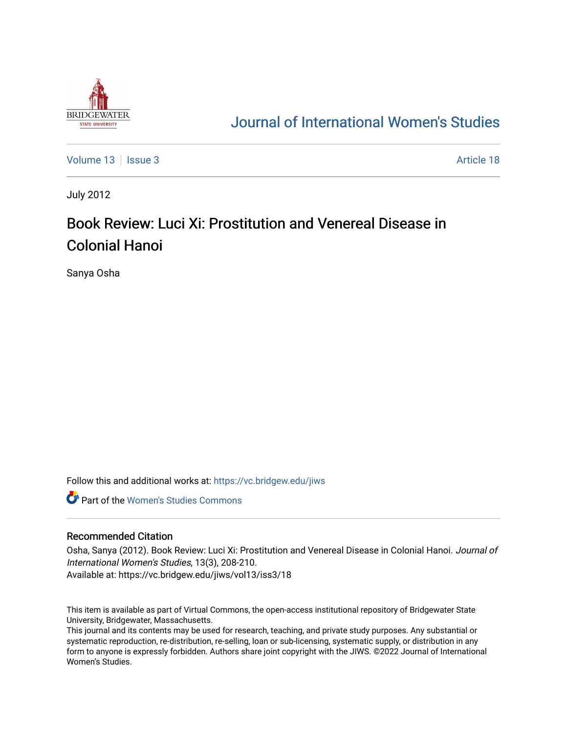

## [Journal of International Women's Studies](https://vc.bridgew.edu/jiws)

[Volume 13](https://vc.bridgew.edu/jiws/vol13) | [Issue 3](https://vc.bridgew.edu/jiws/vol13/iss3) Article 18

July 2012

# Book Review: Luci Xi: Prostitution and Venereal Disease in Colonial Hanoi

Sanya Osha

Follow this and additional works at: [https://vc.bridgew.edu/jiws](https://vc.bridgew.edu/jiws?utm_source=vc.bridgew.edu%2Fjiws%2Fvol13%2Fiss3%2F18&utm_medium=PDF&utm_campaign=PDFCoverPages)

**C** Part of the Women's Studies Commons

#### Recommended Citation

Osha, Sanya (2012). Book Review: Luci Xi: Prostitution and Venereal Disease in Colonial Hanoi. Journal of International Women's Studies, 13(3), 208-210. Available at: https://vc.bridgew.edu/jiws/vol13/iss3/18

This item is available as part of Virtual Commons, the open-access institutional repository of Bridgewater State University, Bridgewater, Massachusetts.

This journal and its contents may be used for research, teaching, and private study purposes. Any substantial or systematic reproduction, re-distribution, re-selling, loan or sub-licensing, systematic supply, or distribution in any form to anyone is expressly forbidden. Authors share joint copyright with the JIWS. ©2022 Journal of International Women's Studies.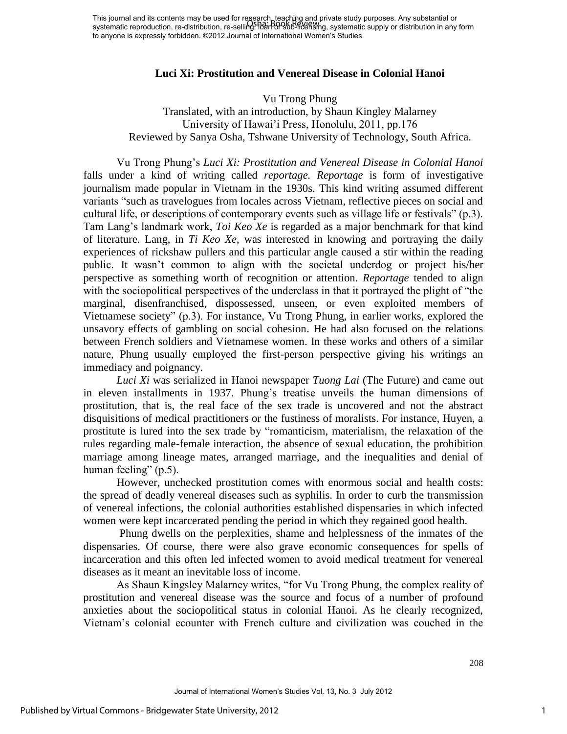### **Luci Xi: Prostitution and Venereal Disease in Colonial Hanoi**

#### Vu Trong Phung

Translated, with an introduction, by Shaun Kingley Malarney University of Hawai'i Press, Honolulu, 2011, pp.176 Reviewed by Sanya Osha, Tshwane University of Technology, South Africa.

Vu Trong Phung's *Luci Xi: Prostitution and Venereal Disease in Colonial Hanoi* falls under a kind of writing called *reportage. Reportage* is form of investigative journalism made popular in Vietnam in the 1930s. This kind writing assumed different variants "such as travelogues from locales across Vietnam, reflective pieces on social and cultural life, or descriptions of contemporary events such as village life or festivals" (p.3). Tam Lang's landmark work, *Toi Keo Xe* is regarded as a major benchmark for that kind of literature. Lang, in *Ti Keo Xe*, was interested in knowing and portraying the daily experiences of rickshaw pullers and this particular angle caused a stir within the reading public. It wasn't common to align with the societal underdog or project his/her perspective as something worth of recognition or attention. *Reportage* tended to align with the sociopolitical perspectives of the underclass in that it portrayed the plight of "the marginal, disenfranchised, dispossessed, unseen, or even exploited members of Vietnamese society" (p.3). For instance, Vu Trong Phung, in earlier works, explored the unsavory effects of gambling on social cohesion. He had also focused on the relations between French soldiers and Vietnamese women. In these works and others of a similar nature, Phung usually employed the first-person perspective giving his writings an immediacy and poignancy.

*Luci Xi* was serialized in Hanoi newspaper *Tuong Lai* (The Future) and came out in eleven installments in 1937. Phung's treatise unveils the human dimensions of prostitution, that is, the real face of the sex trade is uncovered and not the abstract disquisitions of medical practitioners or the fustiness of moralists. For instance, Huyen, a prostitute is lured into the sex trade by "romanticism, materialism, the relaxation of the rules regarding male-female interaction, the absence of sexual education, the prohibition marriage among lineage mates, arranged marriage, and the inequalities and denial of human feeling" (p.5).

However, unchecked prostitution comes with enormous social and health costs: the spread of deadly venereal diseases such as syphilis. In order to curb the transmission of venereal infections, the colonial authorities established dispensaries in which infected women were kept incarcerated pending the period in which they regained good health.

Phung dwells on the perplexities, shame and helplessness of the inmates of the dispensaries. Of course, there were also grave economic consequences for spells of incarceration and this often led infected women to avoid medical treatment for venereal diseases as it meant an inevitable loss of income.

As Shaun Kingsley Malarney writes, "for Vu Trong Phung, the complex reality of prostitution and venereal disease was the source and focus of a number of profound anxieties about the sociopolitical status in colonial Hanoi. As he clearly recognized, Vietnam's colonial ecounter with French culture and civilization was couched in the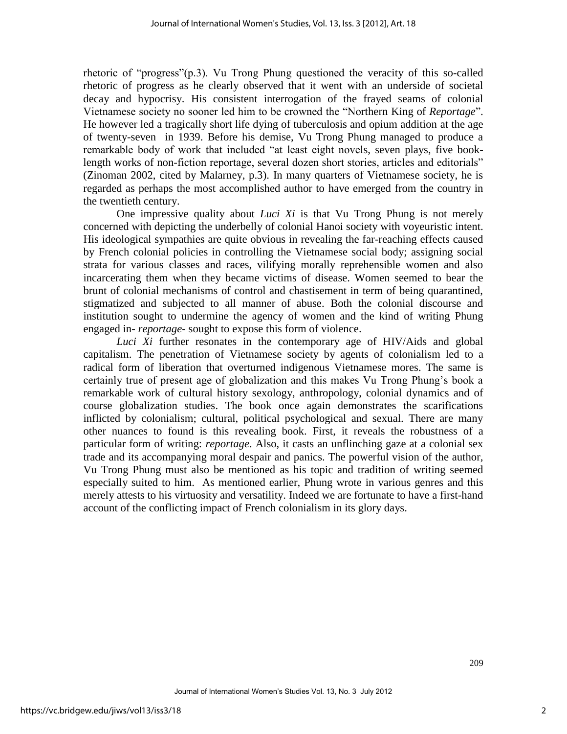rhetoric of "progress"(p.3). Vu Trong Phung questioned the veracity of this so-called rhetoric of progress as he clearly observed that it went with an underside of societal decay and hypocrisy. His consistent interrogation of the frayed seams of colonial Vietnamese society no sooner led him to be crowned the "Northern King of *Reportage*". He however led a tragically short life dying of tuberculosis and opium addition at the age of twenty-seven in 1939. Before his demise, Vu Trong Phung managed to produce a remarkable body of work that included "at least eight novels, seven plays, five booklength works of non-fiction reportage, several dozen short stories, articles and editorials" (Zinoman 2002, cited by Malarney, p.3). In many quarters of Vietnamese society, he is regarded as perhaps the most accomplished author to have emerged from the country in the twentieth century.

One impressive quality about *Luci Xi* is that Vu Trong Phung is not merely concerned with depicting the underbelly of colonial Hanoi society with voyeuristic intent. His ideological sympathies are quite obvious in revealing the far-reaching effects caused by French colonial policies in controlling the Vietnamese social body; assigning social strata for various classes and races, vilifying morally reprehensible women and also incarcerating them when they became victims of disease. Women seemed to bear the brunt of colonial mechanisms of control and chastisement in term of being quarantined, stigmatized and subjected to all manner of abuse. Both the colonial discourse and institution sought to undermine the agency of women and the kind of writing Phung engaged in- *reportage*- sought to expose this form of violence.

*Luci Xi* further resonates in the contemporary age of HIV/Aids and global capitalism. The penetration of Vietnamese society by agents of colonialism led to a radical form of liberation that overturned indigenous Vietnamese mores. The same is certainly true of present age of globalization and this makes Vu Trong Phung's book a remarkable work of cultural history sexology, anthropology, colonial dynamics and of course globalization studies. The book once again demonstrates the scarifications inflicted by colonialism; cultural, political psychological and sexual. There are many other nuances to found is this revealing book. First, it reveals the robustness of a particular form of writing: *reportage*. Also, it casts an unflinching gaze at a colonial sex trade and its accompanying moral despair and panics. The powerful vision of the author, Vu Trong Phung must also be mentioned as his topic and tradition of writing seemed especially suited to him. As mentioned earlier, Phung wrote in various genres and this merely attests to his virtuosity and versatility. Indeed we are fortunate to have a first-hand account of the conflicting impact of French colonialism in its glory days.